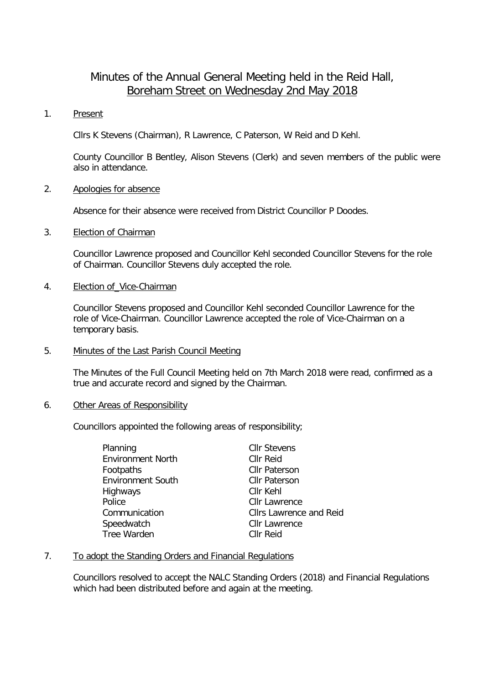# Minutes of the Annual General Meeting held in the Reid Hall, Boreham Street on Wednesday 2nd May 2018

# 1. Present

Cllrs K Stevens (Chairman), R Lawrence, C Paterson, W Reid and D Kehl.

County Councillor B Bentley, Alison Stevens (Clerk) and seven members of the public were also in attendance.

# 2. Apologies for absence

Absence for their absence were received from District Councillor P Doodes.

# 3. Election of Chairman

Councillor Lawrence proposed and Councillor Kehl seconded Councillor Stevens for the role of Chairman. Councillor Stevens duly accepted the role.

#### 4. Election of\_Vice-Chairman

Councillor Stevens proposed and Councillor Kehl seconded Councillor Lawrence for the role of Vice-Chairman. Councillor Lawrence accepted the role of Vice-Chairman on a temporary basis.

# 5. Minutes of the Last Parish Council Meeting

The Minutes of the Full Council Meeting held on 7th March 2018 were read, confirmed as a true and accurate record and signed by the Chairman.

#### 6. Other Areas of Responsibility

Councillors appointed the following areas of responsibility;

| Planning                 | <b>Cllr Stevens</b>            |
|--------------------------|--------------------------------|
| <b>Environment North</b> | <b>CIIr Reid</b>               |
| Footpaths                | <b>Cllr Paterson</b>           |
| <b>Environment South</b> | <b>Cllr Paterson</b>           |
| Highways                 | Cllr Kehl                      |
| Police                   | <b>Cllr Lawrence</b>           |
| Communication            | <b>Cllrs Lawrence and Reid</b> |
| Speedwatch               | <b>CIIr Lawrence</b>           |
| Tree Warden              | <b>CIIr Reid</b>               |

# 7. To adopt the Standing Orders and Financial Regulations

Councillors resolved to accept the NALC Standing Orders (2018) and Financial Regulations which had been distributed before and again at the meeting.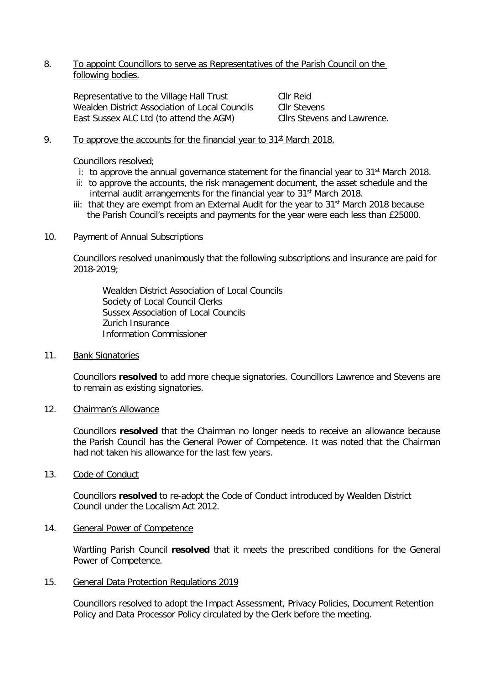# 8. To appoint Councillors to serve as Representatives of the Parish Council on the following bodies.

Representative to the Village Hall Trust Cllr Reid Wealden District Association of Local Councils Cllr Stevens<br>
East Sussex ALC Ltd (to attend the AGM) Cllrs Stevens and Lawrence. East Sussex ALC Ltd (to attend the AGM)

# 9. To approve the accounts for the financial year to  $31<sup>st</sup>$  March 2018.

Councillors resolved;

- i: to approve the annual governance statement for the financial year to  $31<sup>st</sup>$  March 2018.
- ii: to approve the accounts, the risk management document, the asset schedule and the internal audit arrangements for the financial year to 31st March 2018.
- iii: that they are exempt from an External Audit for the year to  $31<sup>st</sup>$  March 2018 because the Parish Council's receipts and payments for the year were each less than £25000.

#### 10. Payment of Annual Subscriptions

Councillors resolved unanimously that the following subscriptions and insurance are paid for 2018-2019;

Wealden District Association of Local Councils Society of Local Council Clerks Sussex Association of Local Councils Zurich Insurance Information Commissioner

#### 11. Bank Signatories

Councillors **resolved** to add more cheque signatories. Councillors Lawrence and Stevens are to remain as existing signatories.

#### 12. Chairman's Allowance

Councillors **resolved** that the Chairman no longer needs to receive an allowance because the Parish Council has the General Power of Competence. It was noted that the Chairman had not taken his allowance for the last few years.

#### 13. Code of Conduct

Councillors **resolved** to re-adopt the Code of Conduct introduced by Wealden District Council under the Localism Act 2012.

#### 14. General Power of Competence

Wartling Parish Council **resolved** that it meets the prescribed conditions for the General Power of Competence.

# 15. General Data Protection Regulations 2019

Councillors resolved to adopt the Impact Assessment, Privacy Policies, Document Retention Policy and Data Processor Policy circulated by the Clerk before the meeting.